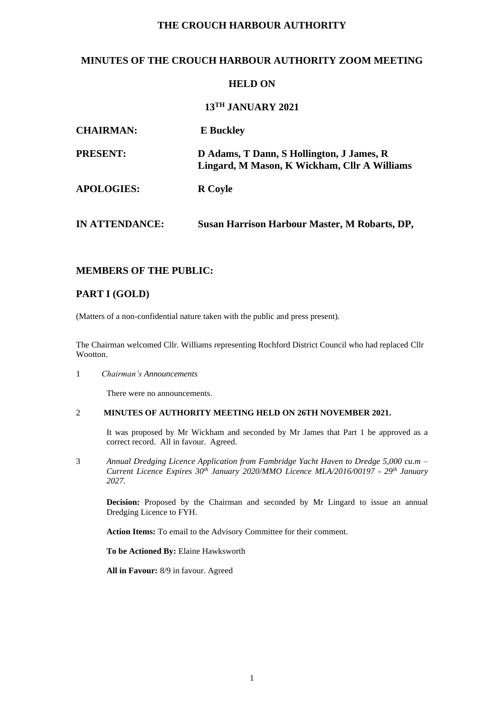# **THE CROUCH HARBOUR AUTHORITY**

## **MINUTES OF THE CROUCH HARBOUR AUTHORITY ZOOM MEETING**

### **HELD ON**

### **13TH JANUARY 2021**

| <b>CHAIRMAN:</b>      | <b>E</b> Buckley                                                                          |
|-----------------------|-------------------------------------------------------------------------------------------|
| <b>PRESENT:</b>       | D Adams, T Dann, S Hollington, J James, R<br>Lingard, M Mason, K Wickham, Cllr A Williams |
| <b>APOLOGIES:</b>     | <b>R</b> Coyle                                                                            |
| <b>IN ATTENDANCE:</b> | Susan Harrison Harbour Master, M Robarts, DP,                                             |

### **MEMBERS OF THE PUBLIC:**

### **PART I (GOLD)**

(Matters of a non-confidential nature taken with the public and press present).

The Chairman welcomed Cllr. Williams representing Rochford District Council who had replaced Cllr Wootton.

1 *Chairman's Announcements*

There were no announcements.

### 2 **MINUTES OF AUTHORITY MEETING HELD ON 26TH NOVEMBER 2021.**

It was proposed by Mr Wickham and seconded by Mr James that Part 1 be approved as a correct record. All in favour. Agreed.

3 *Annual Dredging Licence Application from Fambridge Yacht Haven to Dredge 5,000 cu.m – Current Licence Expires 30th January 2020/MMO Licence MLA/2016/00197 - 29th January 2027.*

**Decision:** Proposed by the Chairman and seconded by Mr Lingard to issue an annual Dredging Licence to FYH.

**Action Items:** To email to the Advisory Committee for their comment.

**To be Actioned By:** Elaine Hawksworth

**All in Favour:** 8/9 in favour. Agreed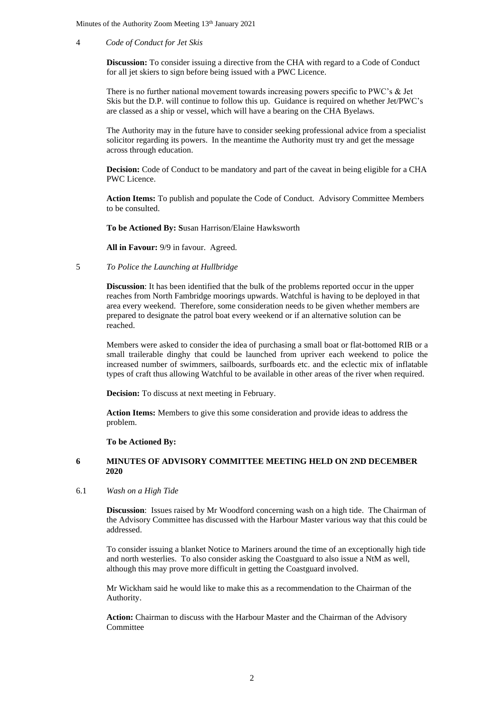#### 4 *Code of Conduct for Jet Skis*

**Discussion:** To consider issuing a directive from the CHA with regard to a Code of Conduct for all jet skiers to sign before being issued with a PWC Licence.

There is no further national movement towards increasing powers specific to PWC's & Jet Skis but the D.P. will continue to follow this up. Guidance is required on whether Jet/PWC's are classed as a ship or vessel, which will have a bearing on the CHA Byelaws.

The Authority may in the future have to consider seeking professional advice from a specialist solicitor regarding its powers. In the meantime the Authority must try and get the message across through education.

**Decision:** Code of Conduct to be mandatory and part of the caveat in being eligible for a CHA PWC Licence.

**Action Items:** To publish and populate the Code of Conduct. Advisory Committee Members to be consulted.

**To be Actioned By: S**usan Harrison/Elaine Hawksworth

**All in Favour:** 9/9 in favour. Agreed.

5 *To Police the Launching at Hullbridge*

**Discussion**: It has been identified that the bulk of the problems reported occur in the upper reaches from North Fambridge moorings upwards. Watchful is having to be deployed in that area every weekend. Therefore, some consideration needs to be given whether members are prepared to designate the patrol boat every weekend or if an alternative solution can be reached.

Members were asked to consider the idea of purchasing a small boat or flat-bottomed RIB or a small trailerable dinghy that could be launched from upriver each weekend to police the increased number of swimmers, sailboards, surfboards etc. and the eclectic mix of inflatable types of craft thus allowing Watchful to be available in other areas of the river when required.

**Decision:** To discuss at next meeting in February.

**Action Items:** Members to give this some consideration and provide ideas to address the problem.

#### **To be Actioned By:**

#### **6 MINUTES OF ADVISORY COMMITTEE MEETING HELD ON 2ND DECEMBER 2020**

#### 6.1 *Wash on a High Tide*

**Discussion**: Issues raised by Mr Woodford concerning wash on a high tide. The Chairman of the Advisory Committee has discussed with the Harbour Master various way that this could be addressed.

To consider issuing a blanket Notice to Mariners around the time of an exceptionally high tide and north westerlies. To also consider asking the Coastguard to also issue a NtM as well, although this may prove more difficult in getting the Coastguard involved.

Mr Wickham said he would like to make this as a recommendation to the Chairman of the Authority.

**Action:** Chairman to discuss with the Harbour Master and the Chairman of the Advisory **Committee**